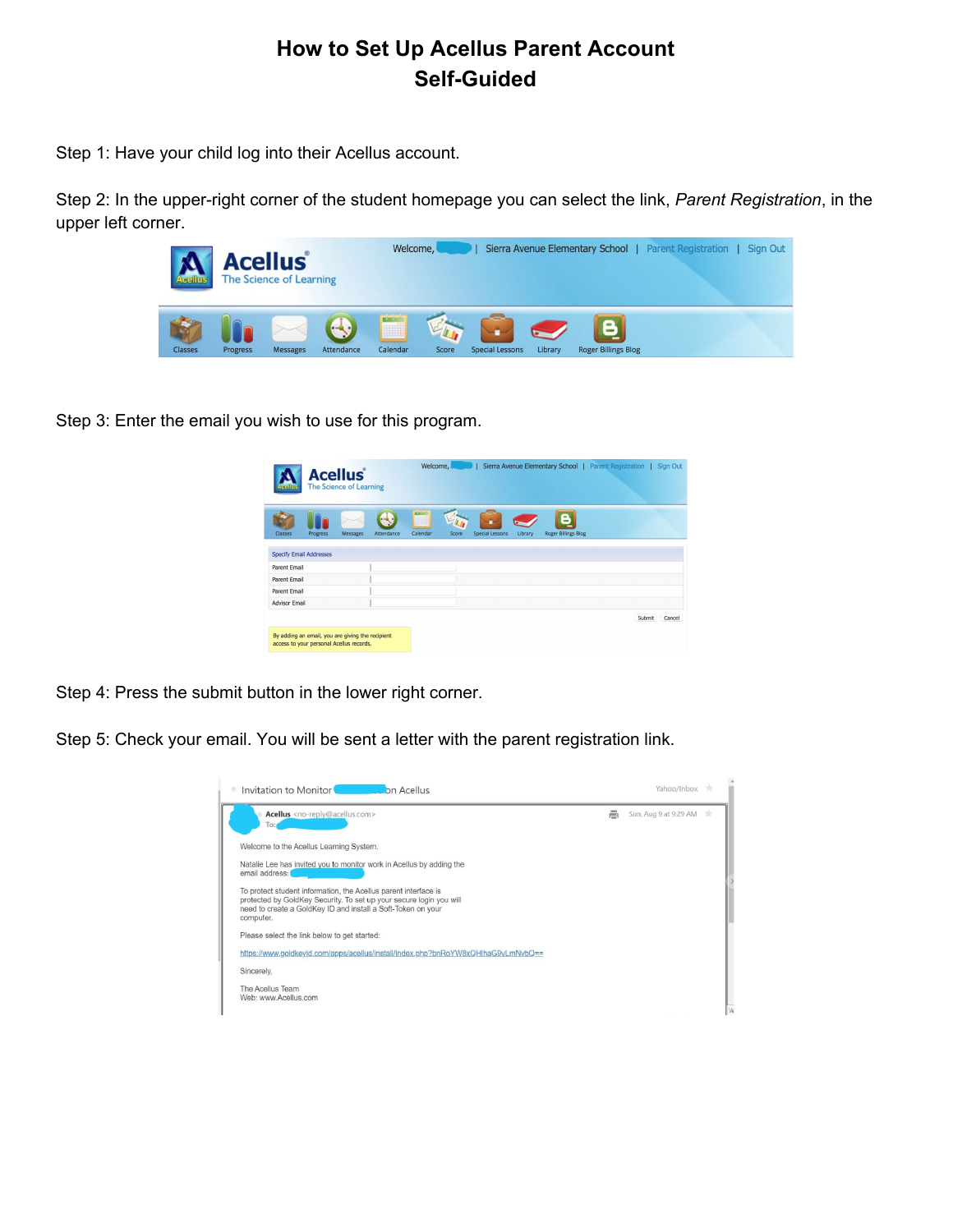## **How to Set Up Acellus Parent Account Self-Guided**

Step 1: Have your child log into their Acellus account.

Step 2: In the upper-right corner of the student homepage you can select the link, Parent Registration, in the upper left corner.



Step 3: Enter the email you wish to use for this program.

| Messages<br>Attendance | <b>DOM:</b><br>m  |                            |                            |  |
|------------------------|-------------------|----------------------------|----------------------------|--|
|                        | Calendar<br>Score | Special Lessons<br>Library | <b>Roger Billings Blog</b> |  |
|                        |                   |                            |                            |  |
|                        |                   |                            |                            |  |
|                        |                   |                            |                            |  |
|                        |                   |                            |                            |  |
|                        |                   |                            |                            |  |
|                        |                   |                            |                            |  |

Step 4: Press the submit button in the lower right corner.

Step 5: Check your email. You will be sent a letter with the parent registration link.

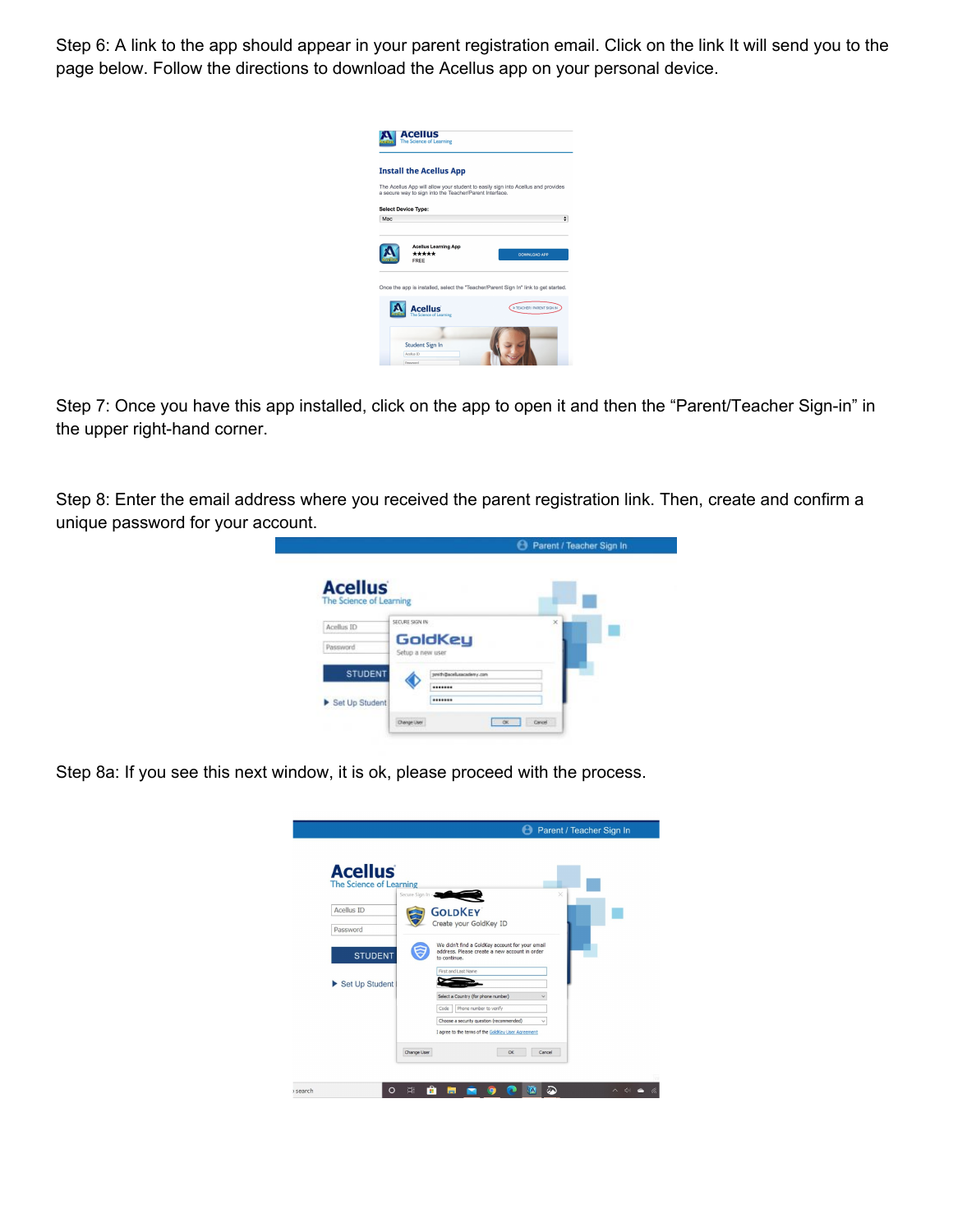Step 6: A link to the app should appear in your parent registration email. Click on the link It will send you to the page below. Follow the directions to download the Acellus app on your personal device.

|     | <b>Install the Acellus App</b>                          |                                                                                     |
|-----|---------------------------------------------------------|-------------------------------------------------------------------------------------|
|     | a secure way to sign into the Teacher/Parent Interface. | The Acellus App will allow your student to easily sign into Acellus and provides    |
|     | <b>Select Device Type:</b>                              |                                                                                     |
| Mac |                                                         | ۵                                                                                   |
|     |                                                         |                                                                                     |
|     | <b>Acellus Learning App</b>                             |                                                                                     |
|     | *****<br>FREE                                           | <b>DOWNLOAD APP</b>                                                                 |
|     |                                                         |                                                                                     |
|     |                                                         |                                                                                     |
|     |                                                         | Once the app is installed, select the "Teacher/Parent Sign In" link to get started. |
|     |                                                         |                                                                                     |
|     |                                                         |                                                                                     |
|     | Acellus<br>The Science of Learning                      | <b>IN TEACHER / PARENT SIGN IN</b>                                                  |

Step 7: Once you have this app installed, click on the app to open it and then the "Parent/Teacher Sign-in" in the upper right-hand corner.

Step 8: Enter the email address where you received the parent registration link. Then, create and confirm a unique password for your account.

|                         | Parent / Teacher Sign In                     |
|-------------------------|----------------------------------------------|
| <b>Acellus</b>          |                                              |
| The Science of Learning |                                              |
| Acellus ID              | $\times$<br>SECURE SIGN IN                   |
| Password                | GoldKey<br>Setup a new user                  |
| <b>STUDENT</b>          | Jamith Bacellusacademy.com                   |
|                         |                                              |
| Set Up Student          |                                              |
|                         | Cancel<br><b>OK</b><br><b>Chairman Lison</b> |

Step 8a: If you see this next window, it is ok, please proceed with the process.

| <b>Acellus</b>          |                                                                                                                                |
|-------------------------|--------------------------------------------------------------------------------------------------------------------------------|
| The Science of Learning | Secure Sign In -<br>×                                                                                                          |
| Acellus ID<br>Password  | <b>GOLDKEY</b><br>Create your GoldKey ID                                                                                       |
| <b>STUDENT</b>          | We didn't find a GoldKey account for your email<br>address. Please create a new account in order<br>to continue.               |
| Set Up Student          | First and Last Name                                                                                                            |
|                         | Select a Country (for phone number)<br>Phone number to verify<br>Code<br>Choose a security question (recommended)<br>$\ddot{}$ |
|                         | I agree to the terms of the GoldKey User Agreement                                                                             |
|                         | Change User<br>ОK<br>Cancel                                                                                                    |